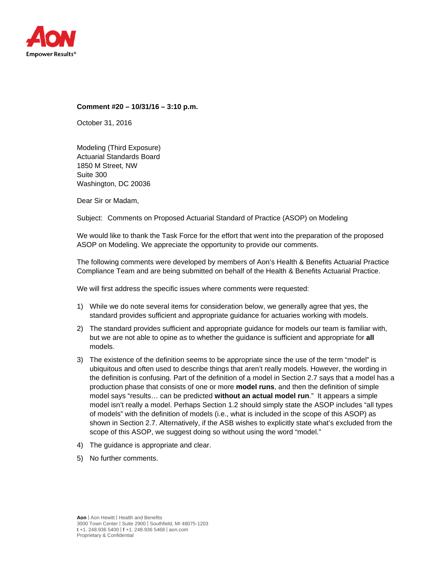

#### **Comment #20 – 10/31/16 – 3:10 p.m.**

October 31, 2016

Modeling (Third Exposure) Actuarial Standards Board 1850 M Street, NW Suite 300 Washington, DC 20036

Dear Sir or Madam,

Subject: Comments on Proposed Actuarial Standard of Practice (ASOP) on Modeling

We would like to thank the Task Force for the effort that went into the preparation of the proposed ASOP on Modeling. We appreciate the opportunity to provide our comments.

The following comments were developed by members of Aon's Health & Benefits Actuarial Practice Compliance Team and are being submitted on behalf of the Health & Benefits Actuarial Practice.

We will first address the specific issues where comments were requested:

- 1) While we do note several items for consideration below, we generally agree that yes, the standard provides sufficient and appropriate guidance for actuaries working with models.
- 2) The standard provides sufficient and appropriate guidance for models our team is familiar with, but we are not able to opine as to whether the guidance is sufficient and appropriate for **all**  models.
- 3) The existence of the definition seems to be appropriate since the use of the term "model" is ubiquitous and often used to describe things that aren't really models. However, the wording in the definition is confusing. Part of the definition of a model in Section 2.7 says that a model has a production phase that consists of one or more **model runs**, and then the definition of simple model says "results… can be predicted **without an actual model run**." It appears a simple model isn't really a model. Perhaps Section 1.2 should simply state the ASOP includes "all types of models" with the definition of models (i.e., what is included in the scope of this ASOP) as shown in Section 2.7. Alternatively, if the ASB wishes to explicitly state what's excluded from the scope of this ASOP, we suggest doing so without using the word "model."
- 4) The guidance is appropriate and clear.
- 5) No further comments.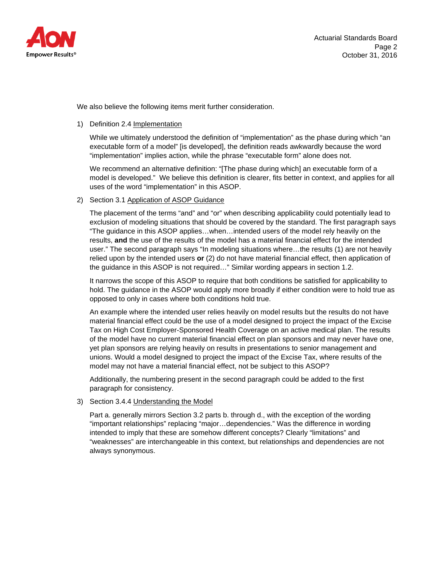

We also believe the following items merit further consideration.

# 1) Definition 2.4 Implementation

While we ultimately understood the definition of "implementation" as the phase during which "an executable form of a model" [is developed], the definition reads awkwardly because the word "implementation" implies action, while the phrase "executable form" alone does not.

We recommend an alternative definition: "[The phase during which] an executable form of a model is developed." We believe this definition is clearer, fits better in context, and applies for all uses of the word "implementation" in this ASOP.

# 2) Section 3.1 Application of ASOP Guidance

The placement of the terms "and" and "or" when describing applicability could potentially lead to exclusion of modeling situations that should be covered by the standard. The first paragraph says "The guidance in this ASOP applies…when…intended users of the model rely heavily on the results, **and** the use of the results of the model has a material financial effect for the intended user." The second paragraph says "In modeling situations where…the results (1) are not heavily relied upon by the intended users **or** (2) do not have material financial effect, then application of the guidance in this ASOP is not required…" Similar wording appears in section 1.2.

It narrows the scope of this ASOP to require that both conditions be satisfied for applicability to hold. The guidance in the ASOP would apply more broadly if either condition were to hold true as opposed to only in cases where both conditions hold true.

An example where the intended user relies heavily on model results but the results do not have material financial effect could be the use of a model designed to project the impact of the Excise Tax on High Cost Employer-Sponsored Health Coverage on an active medical plan. The results of the model have no current material financial effect on plan sponsors and may never have one, yet plan sponsors are relying heavily on results in presentations to senior management and unions. Would a model designed to project the impact of the Excise Tax, where results of the model may not have a material financial effect, not be subject to this ASOP?

Additionally, the numbering present in the second paragraph could be added to the first paragraph for consistency.

# 3) Section 3.4.4 Understanding the Model

Part a. generally mirrors Section 3.2 parts b. through d., with the exception of the wording "important relationships" replacing "major…dependencies." Was the difference in wording intended to imply that these are somehow different concepts? Clearly "limitations" and "weaknesses" are interchangeable in this context, but relationships and dependencies are not always synonymous.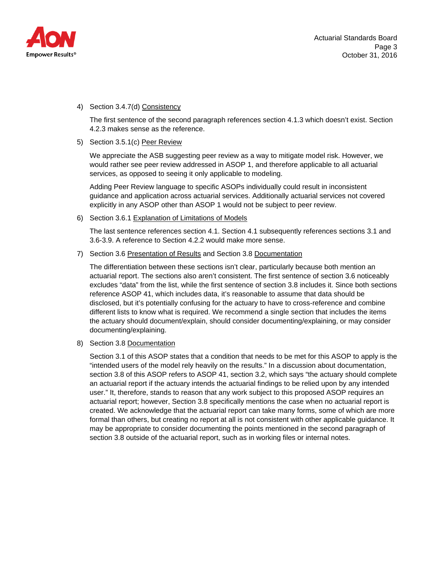

# 4) Section 3.4.7(d) Consistency

The first sentence of the second paragraph references section 4.1.3 which doesn't exist. Section 4.2.3 makes sense as the reference.

# 5) Section 3.5.1(c) Peer Review

We appreciate the ASB suggesting peer review as a way to mitigate model risk. However, we would rather see peer review addressed in ASOP 1, and therefore applicable to all actuarial services, as opposed to seeing it only applicable to modeling.

Adding Peer Review language to specific ASOPs individually could result in inconsistent guidance and application across actuarial services. Additionally actuarial services not covered explicitly in any ASOP other than ASOP 1 would not be subject to peer review.

# 6) Section 3.6.1 Explanation of Limitations of Models

The last sentence references section 4.1. Section 4.1 subsequently references sections 3.1 and 3.6-3.9. A reference to Section 4.2.2 would make more sense.

# 7) Section 3.6 Presentation of Results and Section 3.8 Documentation

The differentiation between these sections isn't clear, particularly because both mention an actuarial report. The sections also aren't consistent. The first sentence of section 3.6 noticeably excludes "data" from the list, while the first sentence of section 3.8 includes it. Since both sections reference ASOP 41, which includes data, it's reasonable to assume that data should be disclosed, but it's potentially confusing for the actuary to have to cross-reference and combine different lists to know what is required. We recommend a single section that includes the items the actuary should document/explain, should consider documenting/explaining, or may consider documenting/explaining.

# 8) Section 3.8 Documentation

Section 3.1 of this ASOP states that a condition that needs to be met for this ASOP to apply is the "intended users of the model rely heavily on the results." In a discussion about documentation, section 3.8 of this ASOP refers to ASOP 41, section 3.2, which says "the actuary should complete an actuarial report if the actuary intends the actuarial findings to be relied upon by any intended user." It, therefore, stands to reason that any work subject to this proposed ASOP requires an actuarial report; however, Section 3.8 specifically mentions the case when no actuarial report is created. We acknowledge that the actuarial report can take many forms, some of which are more formal than others, but creating no report at all is not consistent with other applicable guidance. It may be appropriate to consider documenting the points mentioned in the second paragraph of section 3.8 outside of the actuarial report, such as in working files or internal notes.